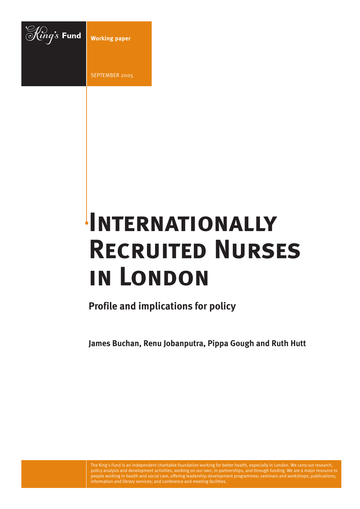

SEPTEMBER 2005

# **Internationally Recruited Nurses in London**

**Profile and implications for policy**

**James Buchan, Renu Jobanputra, Pippa Gough and Ruth Hutt**

The King's Fund is an independent charitable foundation working for better health, especially in London. We carry out research, policy analysis and development activities, working on our own, in partnerships, and through funding. We are a major resource to people working in health and social care, offering leadership development programmes; seminars and workshops; publications; information and library services; and conference and meeting facilities.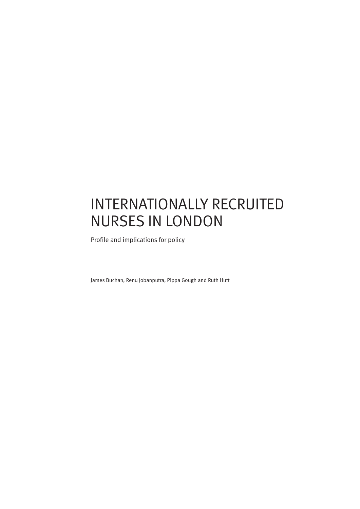# INTERNATIONALLY RECRUITED NURSES IN LONDON

Profile and implications for policy

James Buchan, Renu Jobanputra, Pippa Gough and Ruth Hutt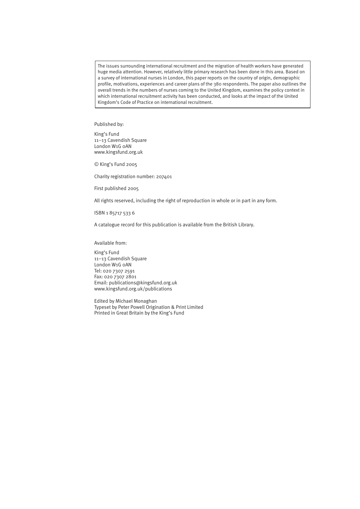The issues surrounding international recruitment and the migration of health workers have generated huge media attention. However, relatively little primary research has been done in this area. Based on a survey of international nurses in London, this paper reports on the country of origin, demographic profile, motivations, experiences and career plans of the 380 respondents. The paper also outlines the overall trends in the numbers of nurses coming to the United Kingdom, examines the policy context in which international recruitment activity has been conducted, and looks at the impact of the United Kingdom's Code of Practice on international recruitment.

#### Published by:

King's Fund 11–13 Cavendish Square London W1G 0AN www.kingsfund.org.uk

© King's Fund 2005

Charity registration number: 207401

First published 2005

All rights reserved, including the right of reproduction in whole or in part in any form.

ISBN 1 85717 533 6

A catalogue record for this publication is available from the British Library.

Available from:

King's Fund 11–13 Cavendish Square London W1G 0AN Tel: 020 7307 2591 Fax: 020 7307 2801 Email: publications@kingsfund.org.uk www.kingsfund.org.uk/publications

Edited by Michael Monaghan Typeset by Peter Powell Origination & Print Limited Printed in Great Britain by the King's Fund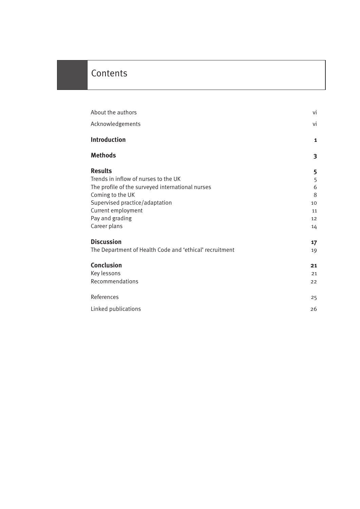### **Contents**

| About the authors                                                                                                                                                                                                         | vi                                       |
|---------------------------------------------------------------------------------------------------------------------------------------------------------------------------------------------------------------------------|------------------------------------------|
| Acknowledgements                                                                                                                                                                                                          | vi                                       |
| Introduction                                                                                                                                                                                                              | 1                                        |
| <b>Methods</b>                                                                                                                                                                                                            | 3                                        |
| <b>Results</b><br>Trends in inflow of nurses to the UK<br>The profile of the surveyed international nurses<br>Coming to the UK<br>Supervised practice/adaptation<br>Current employment<br>Pay and grading<br>Career plans | 5<br>5<br>6<br>8<br>10<br>11<br>12<br>14 |
| <b>Discussion</b>                                                                                                                                                                                                         | 17                                       |
| The Department of Health Code and 'ethical' recruitment                                                                                                                                                                   | 19                                       |
| <b>Conclusion</b><br>Key lessons<br>Recommendations                                                                                                                                                                       | 21<br>21<br>22                           |
| References                                                                                                                                                                                                                | 25                                       |
| Linked publications                                                                                                                                                                                                       | 26                                       |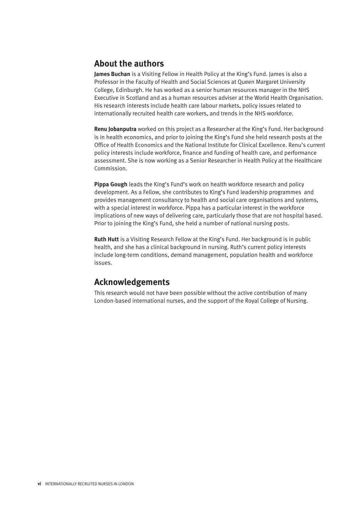#### **About the authors**

**James Buchan** is a Visiting Fellow in Health Policy at the King's Fund. James is also a Professor in the Faculty of Health and Social Sciences at Queen Margaret University College, Edinburgh. He has worked as a senior human resources manager in the NHS Executive in Scotland and as a human resources adviser at the World Health Organisation. His research interests include health care labour markets, policy issues related to internationally recruited health care workers, and trends in the NHS workforce.

**Renu Jobanputra** worked on this project as a Researcher at the King's Fund. Her background is in health economics, and prior to joining the King's Fund she held research posts at the Office of Health Economics and the National Institute for Clinical Excellence. Renu's current policy interests include workforce, finance and funding of health care, and performance assessment. She is now working as a Senior Researcher in Health Policy at the Healthcare Commission.

**Pippa Gough** leads the King's Fund's work on health workforce research and policy development. As a Fellow, she contributes to King's Fund leadership programmes and provides management consultancy to health and social care organisations and systems, with a special interest in workforce. Pippa has a particular interest in the workforce implications of new ways of delivering care, particularly those that are not hospital based. Prior to joining the King's Fund, she held a number of national nursing posts.

**Ruth Hutt** is a Visiting Research Fellow at the King's Fund. Her background is in public health, and she has a clinical background in nursing. Ruth's current policy interests include long-term conditions, demand management, population health and workforce issues.

#### **Acknowledgements**

This research would not have been possible without the active contribution of many London-based international nurses, and the support of the Royal College of Nursing.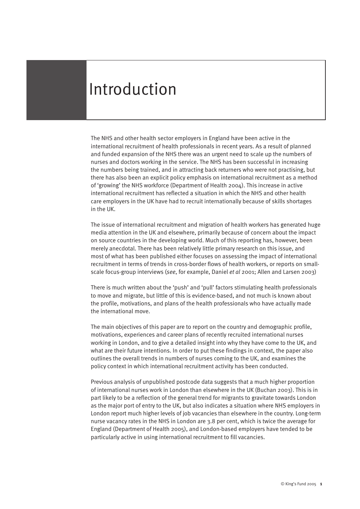# Introduction

The NHS and other health sector employers in England have been active in the international recruitment of health professionals in recent years. As a result of planned and funded expansion of the NHS there was an urgent need to scale up the numbers of nurses and doctors working in the service. The NHS has been successful in increasing the numbers being trained, and in attracting back returners who were not practising, but there has also been an explicit policy emphasis on international recruitment as a method of 'growing' the NHS workforce (Department of Health 2004). This increase in active international recruitment has reflected a situation in which the NHS and other health care employers in the UK have had to recruit internationally because of skills shortages in the UK.

The issue of international recruitment and migration of health workers has generated huge media attention in the UK and elsewhere, primarily because of concern about the impact on source countries in the developing world. Much of this reporting has, however, been merely anecdotal. There has been relatively little primary research on this issue, and most of what has been published either focuses on assessing the impact of international recruitment in terms of trends in cross-border flows of health workers, or reports on smallscale focus-group interviews (*see*, for example, Daniel *et al* 2001; Allen and Larsen 2003)

There is much written about the 'push' and 'pull' factors stimulating health professionals to move and migrate, but little of this is evidence-based, and not much is known about the profile, motivations, and plans of the health professionals who have actually made the international move.

The main objectives of this paper are to report on the country and demographic profile, motivations, experiences and career plans of recently recruited international nurses working in London, and to give a detailed insight into why they have come to the UK, and what are their future intentions. In order to put these findings in context, the paper also outlines the overall trends in numbers of nurses coming to the UK, and examines the policy context in which international recruitment activity has been conducted.

Previous analysis of unpublished postcode data suggests that a much higher proportion of international nurses work in London than elsewhere in the UK (Buchan 2003). This is in part likely to be a reflection of the general trend for migrants to gravitate towards London as the major port of entry to the UK, but also indicates a situation where NHS employers in London report much higher levels of job vacancies than elsewhere in the country. Long-term nurse vacancy rates in the NHS in London are 3.8 per cent, which is twice the average for England (Department of Health 2005), and London-based employers have tended to be particularly active in using international recruitment to fill vacancies.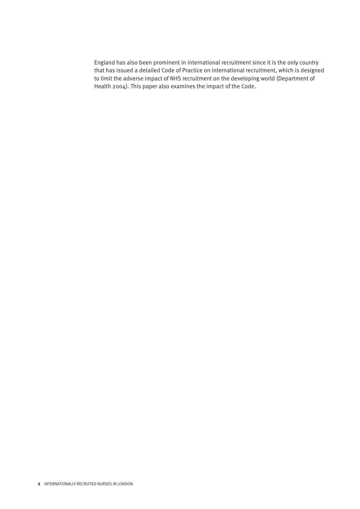England has also been prominent in international recruitment since it is the only country that has issued a detailed Code of Practice on international recruitment, which is designed to limit the adverse impact of NHS recruitment on the developing world (Department of Health 2004). This paper also examines the impact of the Code.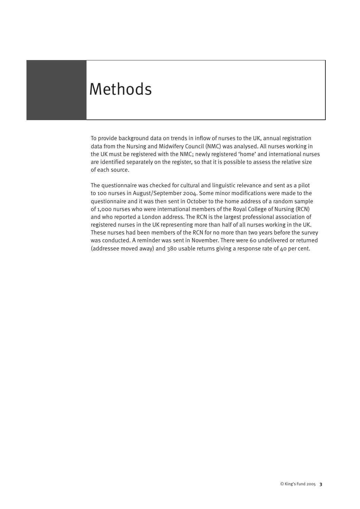# Methods

To provide background data on trends in inflow of nurses to the UK, annual registration data from the Nursing and Midwifery Council (NMC) was analysed. All nurses working in the UK must be registered with the NMC; newly registered 'home' and international nurses are identified separately on the register, so that it is possible to assess the relative size of each source.

The questionnaire was checked for cultural and linguistic relevance and sent as a pilot to 100 nurses in August/September 2004. Some minor modifications were made to the questionnaire and it was then sent in October to the home address of a random sample of 1,000 nurses who were international members of the Royal College of Nursing (RCN) and who reported a London address. The RCN is the largest professional association of registered nurses in the UK representing more than half of all nurses working in the UK. These nurses had been members of the RCN for no more than two years before the survey was conducted. A reminder was sent in November. There were 60 undelivered or returned (addressee moved away) and 380 usable returns giving a response rate of 40 per cent.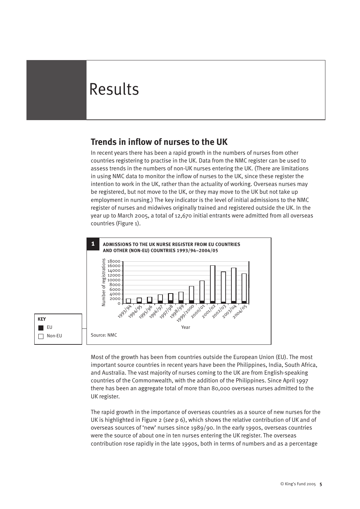# Results

### **Trends in inflow of nurses to the UK**

In recent years there has been a rapid growth in the numbers of nurses from other countries registering to practise in the UK. Data from the NMC register can be used to assess trends in the numbers of non-UK nurses entering the UK. (There are limitations in using NMC data to monitor the inflow of nurses to the UK, since these register the intention to work in the UK, rather than the actuality of working. Overseas nurses may be registered, but not move to the UK, or they may move to the UK but not take up employment in nursing.) The key indicator is the level of initial admissions to the NMC register of nurses and midwives originally trained and registered outside the UK. In the year up to March 2005, a total of 12,670 initial entrants were admitted from all overseas countries (Figure 1).



Most of the growth has been from countries outside the European Union (EU). The most important source countries in recent years have been the Philippines, India, South Africa, and Australia. The vast majority of nurses coming to the UK are from English-speaking countries of the Commonwealth, with the addition of the Philippines. Since April 1997 there has been an aggregate total of more than 80,000 overseas nurses admitted to the UK register.

The rapid growth in the importance of overseas countries as a source of new nurses for the UK is highlighted in Figure 2 (*see* p 6), which shows the relative contribution of UK and of overseas sources of 'new' nurses since 1989/90. In the early 1990s, overseas countries were the source of about one in ten nurses entering the UK register. The overseas contribution rose rapidly in the late 1990s, both in terms of numbers and as a percentage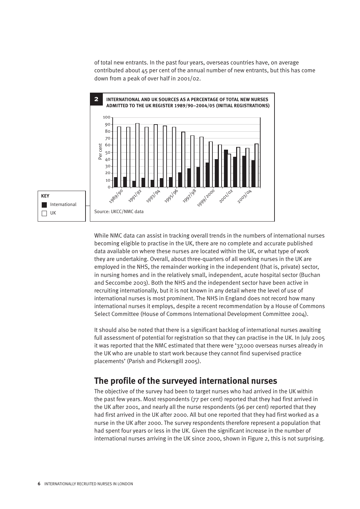of total new entrants. In the past four years, overseas countries have, on average contributed about 45 per cent of the annual number of new entrants, but this has come down from a peak of over half in 2001/02.



While NMC data can assist in tracking overall trends in the numbers of international nurses becoming eligible to practise in the UK, there are no complete and accurate published data available on where these nurses are located within the UK, or what type of work they are undertaking. Overall, about three-quarters of all working nurses in the UK are employed in the NHS, the remainder working in the independent (that is, private) sector, in nursing homes and in the relatively small, independent, acute hospital sector (Buchan and Seccombe 2003). Both the NHS and the independent sector have been active in recruiting internationally, but it is not known in any detail where the level of use of international nurses is most prominent. The NHS in England does not record how many international nurses it employs, despite a recent recommendation by a House of Commons Select Committee (House of Commons International Development Committee 2004).

It should also be noted that there is a significant backlog of international nurses awaiting full assessment of potential for registration so that they can practise in the UK. In July 2005 it was reported that the NMC estimated that there were '37,000 overseas nurses already in the UK who are unable to start work because they cannot find supervised practice placements' (Parish and Pickersgill 2005).

#### **The profile of the surveyed international nurses**

The objective of the survey had been to target nurses who had arrived in the UK within the past few years. Most respondents (77 per cent) reported that they had first arrived in the UK after 2001, and nearly all the nurse respondents (96 per cent) reported that they had first arrived in the UK after 2000. All but one reported that they had first worked as a nurse in the UK after 2000. The survey respondents therefore represent a population that had spent four years or less in the UK. Given the significant increase in the number of international nurses arriving in the UK since 2000, shown in Figure 2, this is not surprising.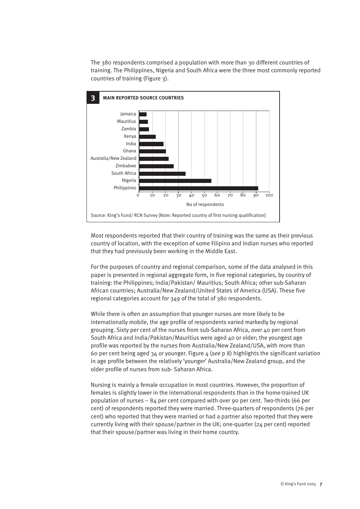The 380 respondents comprised a population with more than 30 different countries of training. The Philippines, Nigeria and South Africa were the three most commonly reported countries of training (Figure 3).



Most respondents reported that their country of training was the same as their previous country of location, with the exception of some Filipino and Indian nurses who reported that they had previously been working in the Middle East.

For the purposes of country and regional comparison, some of the data analysed in this paper is presented in regional aggregate form, in five regional categories, by country of training: the Philippines; India/Pakistan/ Mauritius; South Africa; other sub-Saharan African countries; Australia/New Zealand/United States of America (USA). These five regional categories account for 349 of the total of 380 respondents.

While there is often an assumption that younger nurses are more likely to be internationally mobile, the age profile of respondents varied markedly by regional grouping. Sixty per cent of the nurses from sub-Saharan Africa, over 40 per cent from South Africa and India/Pakistan/Mauritius were aged 40 or older; the youngest age profile was reported by the nurses from Australia/New Zealand/USA, with more than 60 per cent being aged 34 or younger. Figure 4 (*see* p 8) highlights the significant variation in age profile between the relatively 'younger' Australia/New Zealand group, and the older profile of nurses from sub- Saharan Africa.

Nursing is mainly a female occupation in most countries. However, the proportion of females is slightly lower in the international respondents than in the home-trained UK population of nurses – 84 per cent compared with over 90 per cent. Two-thirds (66 per cent) of respondents reported they were married. Three-quarters of respondents (76 per cent) who reported that they were married or had a partner also reported that they were currently living with their spouse/partner in the UK; one-quarter (24 per cent) reported that their spouse/partner was living in their home country.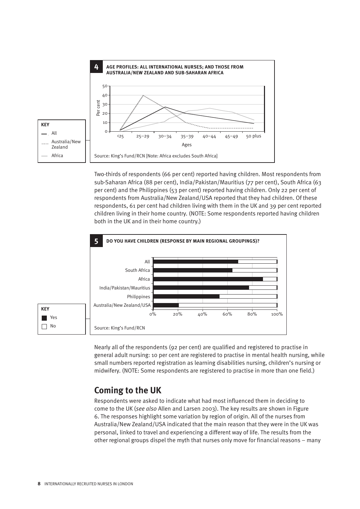

Two-thirds of respondents (66 per cent) reported having children. Most respondents from sub-Saharan Africa (88 per cent), India/Pakistan/Mauritius (77 per cent), South Africa (63 per cent) and the Philippines (53 per cent) reported having children. Only 22 per cent of respondents from Australia/New Zealand/USA reported that they had children. Of these respondents, 61 per cent had children living with them in the UK and 39 per cent reported children living in their home country. (NOTE: Some respondents reported having children both in the UK and in their home country.)



Nearly all of the respondents (92 per cent) are qualified and registered to practise in general adult nursing: 10 per cent are registered to practise in mental health nursing, while small numbers reported registration as learning disabilities nursing, children's nursing or midwifery. (NOTE: Some respondents are registered to practise in more than one field.)

#### **Coming to the UK**

Respondents were asked to indicate what had most influenced them in deciding to come to the UK (*see also* Allen and Larsen 2003). The key results are shown in Figure 6. The responses highlight some variation by region of origin. All of the nurses from Australia/New Zealand/USA indicated that the main reason that they were in the UK was personal, linked to travel and experiencing a different way of life. The results from the other regional groups dispel the myth that nurses only move for financial reasons – many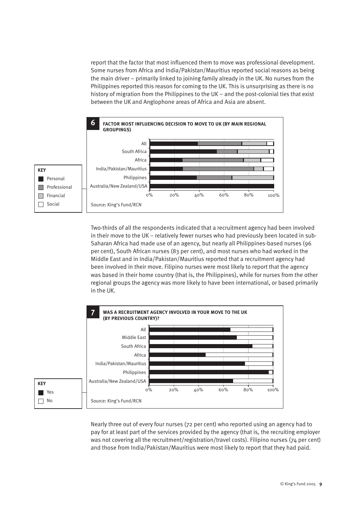report that the factor that most influenced them to move was professional development. Some nurses from Africa and India/Pakistan/Mauritius reported social reasons as being the main driver – primarily linked to joining family already in the UK. No nurses from the Philippines reported this reason for coming to the UK. This is unsurprising as there is no history of migration from the Philippines to the UK – and the post-colonial ties that exist between the UK and Anglophone areas of Africa and Asia are absent.



Two-thirds of all the respondents indicated that a recruitment agency had been involved in their move to the UK – relatively fewer nurses who had previously been located in sub-Saharan Africa had made use of an agency, but nearly all Philippines-based nurses (96 per cent), South African nurses (83 per cent), and most nurses who had worked in the Middle East and in India/Pakistan/Mauritius reported that a recruitment agency had been involved in their move. Filipino nurses were most likely to report that the agency was based in their home country (that is, the Philippines), while for nurses from the other regional groups the agency was more likely to have been international, or based primarily in the UK.



Nearly three out of every four nurses (72 per cent) who reported using an agency had to pay for at least part of the services provided by the agency (that is, the recruiting employer was not covering all the recruitment/registration/travel costs). Filipino nurses (74 per cent) and those from India/Pakistan/Mauritius were most likely to report that they had paid.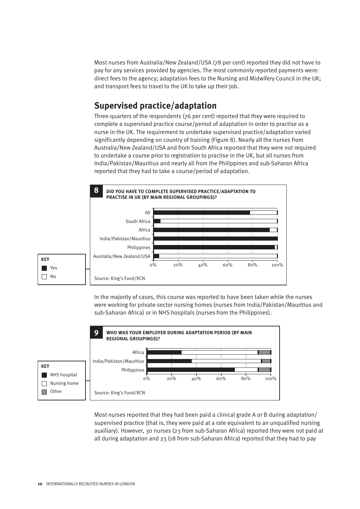Most nurses from Australia/New Zealand/USA (78 per cent) reported they did not have to pay for any services provided by agencies. The most commonly reported payments were: direct fees to the agency; adaptation fees to the Nursing and Midwifery Council in the UK; and transport fees to travel to the UK to take up their job.

### **Supervised practice/adaptation**

Three-quarters of the respondents (76 per cent) reported that they were required to complete a supervised practice course/period of adaptation in order to practise as a nurse in the UK. The requirement to undertake supervised practice/adaptation varied significantly depending on country of training (Figure 8). Nearly all the nurses from Australia/New Zealand/USA and from South Africa reported that they were not required to undertake a course prior to registration to practise in the UK, but all nurses from India/Pakistan/Mauritius and nearly all from the Philippines and sub-Saharan Africa reported that they had to take a course/period of adaptation.



In the majority of cases, this course was reported to have been taken while the nurses were working for private-sector nursing homes (nurses from India/Pakistan/Mauritius and sub-Saharan Africa) or in NHS hospitals (nurses from the Philippines).



Most nurses reported that they had been paid a clinical grade A or B during adaptation/ supervised practice (that is, they were paid at a rate equivalent to an unqualified nursing auxiliary). However, 30 nurses (23 from sub-Saharan Africa) reported they were not paid at all during adaptation and 23 (18 from sub-Saharan Africa) reported that they had to pay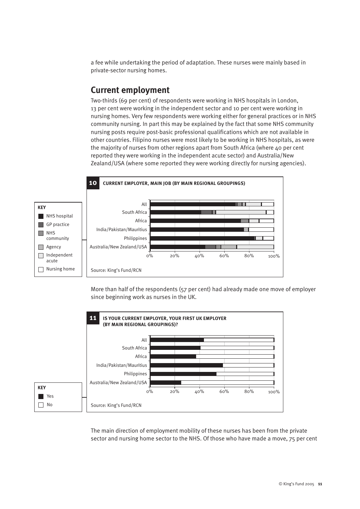a fee while undertaking the period of adaptation. These nurses were mainly based in private-sector nursing homes.

#### **Current employment**

Two-thirds (69 per cent) of respondents were working in NHS hospitals in London, 13 per cent were working in the independent sector and 10 per cent were working in nursing homes. Very few respondents were working either for general practices or in NHS community nursing. In part this may be explained by the fact that some NHS community nursing posts require post-basic professional qualifications which are not available in other countries. Filipino nurses were most likely to be working in NHS hospitals, as were the majority of nurses from other regions apart from South Africa (where 40 per cent reported they were working in the independent acute sector) and Australia/New Zealand/USA (where some reported they were working directly for nursing agencies).



More than half of the respondents (57 per cent) had already made one move of employer since beginning work as nurses in the UK.



The main direction of employment mobility of these nurses has been from the private sector and nursing home sector to the NHS. Of those who have made a move, 75 per cent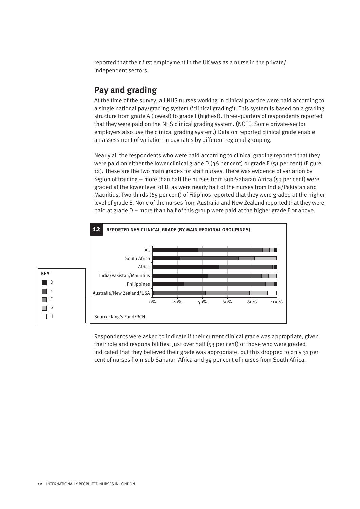reported that their first employment in the UK was as a nurse in the private/ independent sectors.

#### **Pay and grading**

At the time of the survey, all NHS nurses working in clinical practice were paid according to a single national pay/grading system ('clinical grading'). This system is based on a grading structure from grade A (lowest) to grade I (highest). Three-quarters of respondents reported that they were paid on the NHS clinical grading system. (NOTE: Some private-sector employers also use the clinical grading system.) Data on reported clinical grade enable an assessment of variation in pay rates by different regional grouping.

Nearly all the respondents who were paid according to clinical grading reported that they were paid on either the lower clinical grade D (36 per cent) or grade E (51 per cent) (Figure 12). These are the two main grades for staff nurses. There was evidence of variation by region of training – more than half the nurses from sub-Saharan Africa (53 per cent) were graded at the lower level of D, as were nearly half of the nurses from India/Pakistan and Mauritius. Two-thirds (65 per cent) of Filipinos reported that they were graded at the higher level of grade E. None of the nurses from Australia and New Zealand reported that they were paid at grade D – more than half of this group were paid at the higher grade F or above.



Respondents were asked to indicate if their current clinical grade was appropriate, given their role and responsibilities. Just over half (53 per cent) of those who were graded indicated that they believed their grade was appropriate, but this dropped to only 31 per cent of nurses from sub-Saharan Africa and 34 per cent of nurses from South Africa.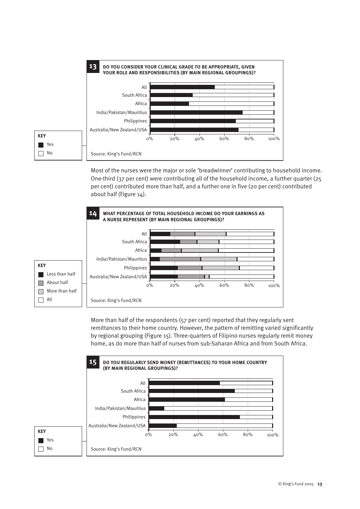

Most of the nurses were the major or sole 'breadwinner' contributing to household income. One-third (37 per cent) were contributing all of the household income, a further quarter (25 per cent) contributed more than half, and a further one in five (20 per cent) contributed about half (Figure 14).



More than half of the respondents (57 per cent) reported that they regularly sent remittances to their home country. However, the pattern of remitting varied significantly by regional grouping (Figure 15). Three-quarters of Filipino nurses regularly remit money home, as do more than half of nurses from sub-Saharan Africa and from South Africa.

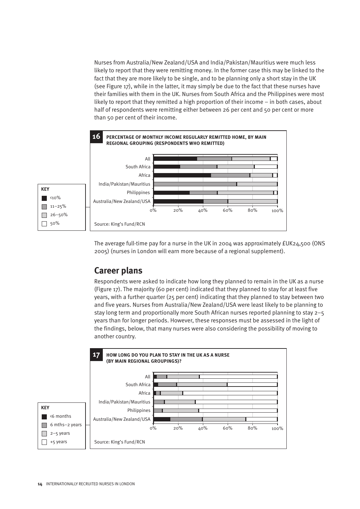Nurses from Australia/New Zealand/USA and India/Pakistan/Mauritius were much less likely to report that they were remitting money. In the former case this may be linked to the fact that they are more likely to be single, and to be planning only a short stay in the UK (see Figure 17), while in the latter, it may simply be due to the fact that these nurses have their families with them in the UK. Nurses from South Africa and the Philippines were most likely to report that they remitted a high proportion of their income – in both cases, about half of respondents were remitting either between 26 per cent and 50 per cent or more than 50 per cent of their income.



The average full-time pay for a nurse in the UK in 2004 was approximately £UK24,500 (ONS 2005) (nurses in London will earn more because of a regional supplement).

### **Career plans**

Respondents were asked to indicate how long they planned to remain in the UK as a nurse (Figure 17). The majority (60 per cent) indicated that they planned to stay for at least five years, with a further quarter (25 per cent) indicating that they planned to stay between two and five years. Nurses from Australia/New Zealand/USA were least likely to be planning to stay long term and proportionally more South African nurses reported planning to stay 2–5 years than for longer periods. However, these responses must be assessed in the light of the findings, below, that many nurses were also considering the possibility of moving to another country.

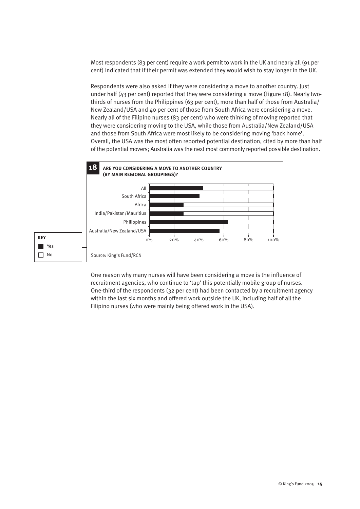Most respondents (83 per cent) require a work permit to work in the UK and nearly all (91 per cent) indicated that if their permit was extended they would wish to stay longer in the UK.

Respondents were also asked if they were considering a move to another country. Just under half (43 per cent) reported that they were considering a move (Figure 18). Nearly twothirds of nurses from the Philippines (63 per cent), more than half of those from Australia/ New Zealand/USA and 40 per cent of those from South Africa were considering a move. Nearly all of the Filipino nurses (83 per cent) who were thinking of moving reported that they were considering moving to the USA, while those from Australia/New Zealand/USA and those from South Africa were most likely to be considering moving 'back home'. Overall, the USA was the most often reported potential destination, cited by more than half of the potential movers; Australia was the next most commonly reported possible destination.



One reason why many nurses will have been considering a move is the influence of recruitment agencies, who continue to 'tap' this potentially mobile group of nurses. One-third of the respondents (32 per cent) had been contacted by a recruitment agency within the last six months and offered work outside the UK, including half of all the Filipino nurses (who were mainly being offered work in the USA).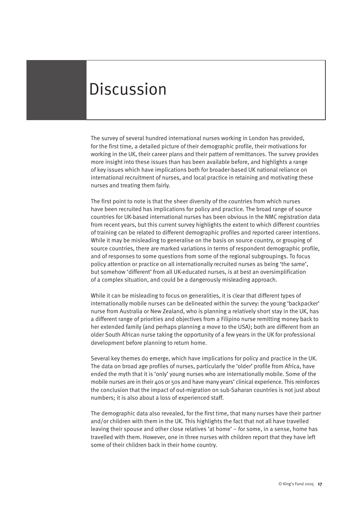### **Discussion**

The survey of several hundred international nurses working in London has provided, for the first time, a detailed picture of their demographic profile, their motivations for working in the UK, their career plans and their pattern of remittances. The survey provides more insight into these issues than has been available before, and highlights a range of key issues which have implications both for broader-based UK national reliance on international recruitment of nurses, and local practice in retaining and motivating these nurses and treating them fairly.

The first point to note is that the sheer diversity of the countries from which nurses have been recruited has implications for policy and practice. The broad range of source countries for UK-based international nurses has been obvious in the NMC registration data from recent years, but this current survey highlights the extent to which different countries of training can be related to different demographic profiles and reported career intentions. While it may be misleading to generalise on the basis on source country, or grouping of source countries, there are marked variations in terms of respondent demographic profile, and of responses to some questions from some of the regional subgroupings. To focus policy attention or practice on all internationally recruited nurses as being 'the same', but somehow 'different' from all UK-educated nurses, is at best an oversimplification of a complex situation, and could be a dangerously misleading approach.

While it can be misleading to focus on generalities, it is clear that different types of internationally mobile nurses can be delineated within the survey: the young 'backpacker' nurse from Australia or New Zealand, who is planning a relatively short stay in the UK, has a different range of priorities and objectives from a Filipino nurse remitting money back to her extended family (and perhaps planning a move to the USA); both are different from an older South African nurse taking the opportunity of a few years in the UK for professional development before planning to return home.

Several key themes do emerge, which have implications for policy and practice in the UK. The data on broad age profiles of nurses, particularly the 'older' profile from Africa, have ended the myth that it is 'only' young nurses who are internationally mobile. Some of the mobile nurses are in their 40s or 50s and have many years' clinical experience. This reinforces the conclusion that the impact of out-migration on sub-Saharan countries is not just about numbers; it is also about a loss of experienced staff.

The demographic data also revealed, for the first time, that many nurses have their partner and/or children with them in the UK. This highlights the fact that not all have travelled leaving their spouse and other close relatives 'at home' – for some, in a sense, home has travelled with them. However, one in three nurses with children report that they have left some of their children back in their home country.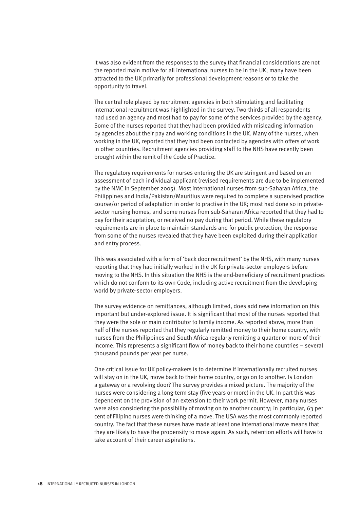It was also evident from the responses to the survey that financial considerations are not the reported main motive for all international nurses to be in the UK; many have been attracted to the UK primarily for professional development reasons or to take the opportunity to travel.

The central role played by recruitment agencies in both stimulating and facilitating international recruitment was highlighted in the survey. Two-thirds of all respondents had used an agency and most had to pay for some of the services provided by the agency. Some of the nurses reported that they had been provided with misleading information by agencies about their pay and working conditions in the UK. Many of the nurses, when working in the UK, reported that they had been contacted by agencies with offers of work in other countries. Recruitment agencies providing staff to the NHS have recently been brought within the remit of the Code of Practice.

The regulatory requirements for nurses entering the UK are stringent and based on an assessment of each individual applicant (revised requirements are due to be implemented by the NMC in September 2005). Most international nurses from sub-Saharan Africa, the Philippines and India/Pakistan/Mauritius were required to complete a supervised practice course/or period of adaptation in order to practise in the UK; most had done so in privatesector nursing homes, and some nurses from sub-Saharan Africa reported that they had to pay for their adaptation, or received no pay during that period. While these regulatory requirements are in place to maintain standards and for public protection, the response from some of the nurses revealed that they have been exploited during their application and entry process.

This was associated with a form of 'back door recruitment' by the NHS, with many nurses reporting that they had initially worked in the UK for private-sector employers before moving to the NHS. In this situation the NHS is the end-beneficiary of recruitment practices which do not conform to its own Code, including active recruitment from the developing world by private-sector employers.

The survey evidence on remittances, although limited, does add new information on this important but under-explored issue. It is significant that most of the nurses reported that they were the sole or main contributor to family income. As reported above, more than half of the nurses reported that they regularly remitted money to their home country, with nurses from the Philippines and South Africa regularly remitting a quarter or more of their income. This represents a significant flow of money back to their home countries – several thousand pounds per year per nurse.

One critical issue for UK policy-makers is to determine if internationally recruited nurses will stay on in the UK, move back to their home country, or go on to another. Is London a gateway or a revolving door? The survey provides a mixed picture. The majority of the nurses were considering a long-term stay (five years or more) in the UK. In part this was dependent on the provision of an extension to their work permit. However, many nurses were also considering the possibility of moving on to another country; in particular, 63 per cent of Filipino nurses were thinking of a move. The USA was the most commonly reported country. The fact that these nurses have made at least one international move means that they are likely to have the propensity to move again. As such, retention efforts will have to take account of their career aspirations.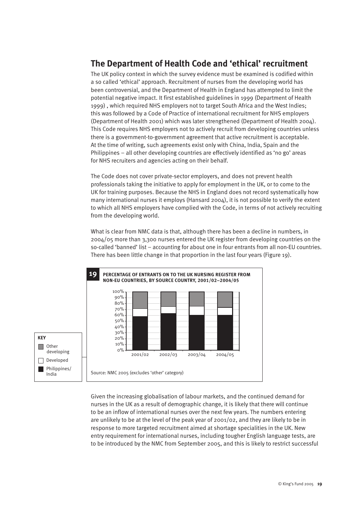### **The Department of Health Code and 'ethical' recruitment**

The UK policy context in which the survey evidence must be examined is codified within a so called 'ethical' approach. Recruitment of nurses from the developing world has been controversial, and the Department of Health in England has attempted to limit the potential negative impact. It first established guidelines in 1999 (Department of Health 1999) , which required NHS employers not to target South Africa and the West Indies; this was followed by a Code of Practice of international recruitment for NHS employers (Department of Health 2001) which was later strengthened (Department of Health 2004). This Code requires NHS employers not to actively recruit from developing countries unless there is a government-to-government agreement that active recruitment is acceptable. At the time of writing, such agreements exist only with China, India, Spain and the Philippines – all other developing countries are effectively identified as 'no go' areas for NHS recruiters and agencies acting on their behalf.

The Code does not cover private-sector employers, and does not prevent health professionals taking the initiative to apply for employment in the UK, or to come to the UK for training purposes. Because the NHS in England does not record systematically how many international nurses it employs (Hansard 2004), it is not possible to verify the extent to which all NHS employers have complied with the Code, in terms of not actively recruiting from the developing world.

What is clear from NMC data is that, although there has been a decline in numbers, in 2004/05 more than 3,300 nurses entered the UK register from developing countries on the so-called 'banned' list – accounting for about one in four entrants from all non-EU countries. There has been little change in that proportion in the last four years (Figure 19).



Given the increasing globalisation of labour markets, and the continued demand for nurses in the UK as a result of demographic change, it is likely that there will continue to be an inflow of international nurses over the next few years. The numbers entering are unlikely to be at the level of the peak year of 2001/02, and they are likely to be in response to more targeted recruitment aimed at shortage specialities in the UK. New entry requirement for international nurses, including tougher English language tests, are to be introduced by the NMC from September 2005, and this is likely to restrict successful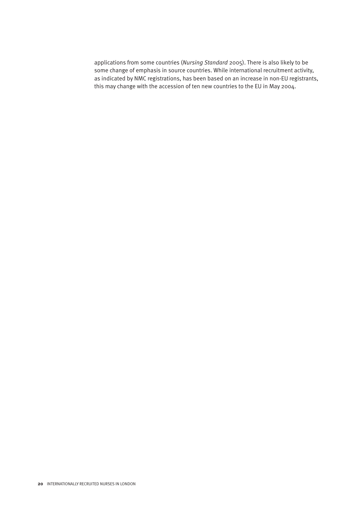applications from some countries (*Nursing Standard* 2005). There is also likely to be some change of emphasis in source countries. While international recruitment activity, as indicated by NMC registrations, has been based on an increase in non-EU registrants, this may change with the accession of ten new countries to the EU in May 2004.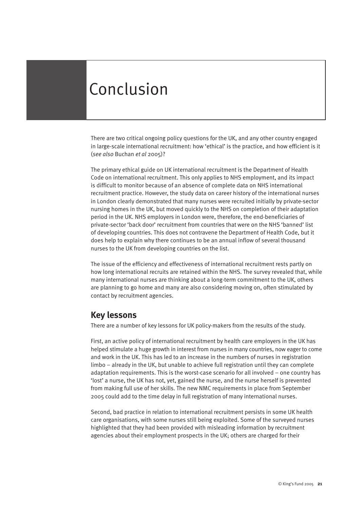# Conclusion

There are two critical ongoing policy questions for the UK, and any other country engaged in large-scale international recruitment: how 'ethical' is the practice, and how efficient is it (*see also* Buchan *et al* 2005)?

The primary ethical guide on UK international recruitment is the Department of Health Code on international recruitment. This only applies to NHS employment, and its impact is difficult to monitor because of an absence of complete data on NHS international recruitment practice. However, the study data on career history of the international nurses in London clearly demonstrated that many nurses were recruited initially by private-sector nursing homes in the UK, but moved quickly to the NHS on completion of their adaptation period in the UK. NHS employers in London were, therefore, the end-beneficiaries of private-sector 'back door' recruitment from countries that were on the NHS 'banned' list of developing countries. This does not contravene the Department of Health Code, but it does help to explain why there continues to be an annual inflow of several thousand nurses to the UK from developing countries on the list.

The issue of the efficiency and effectiveness of international recruitment rests partly on how long international recruits are retained within the NHS. The survey revealed that, while many international nurses are thinking about a long-term commitment to the UK, others are planning to go home and many are also considering moving on, often stimulated by contact by recruitment agencies.

#### **Key lessons**

There are a number of key lessons for UK policy-makers from the results of the study.

First, an active policy of international recruitment by health care employers in the UK has helped stimulate a huge growth in interest from nurses in many countries, now eager to come and work in the UK. This has led to an increase in the numbers of nurses in registration limbo – already in the UK, but unable to achieve full registration until they can complete adaptation requirements. This is the worst-case scenario for all involved – one country has 'lost' a nurse, the UK has not, yet, gained the nurse, and the nurse herself is prevented from making full use of her skills. The new NMC requirements in place from September 2005 could add to the time delay in full registration of many international nurses.

Second, bad practice in relation to international recruitment persists in some UK health care organisations, with some nurses still being exploited. Some of the surveyed nurses highlighted that they had been provided with misleading information by recruitment agencies about their employment prospects in the UK; others are charged for their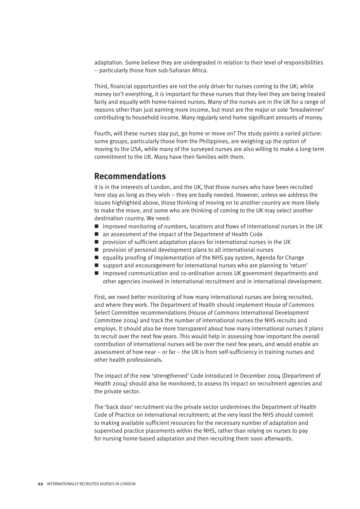adaptation. Some believe they are undergraded in relation to their level of responsibilities – particularly those from sub-Saharan Africa.

Third, financial opportunities are not the only driver for nurses coming to the UK; while money isn't everything, it *is* important for these nurses that they feel they are being treated fairly and equally with home-trained nurses. Many of the nurses are in the UK for a range of reasons other than just earning more income, but most are the major or sole 'breadwinner' contributing to household income. Many regularly send home significant amounts of money.

Fourth, will these nurses stay put, go home or move on? The study paints a varied picture: some groups, particularly those from the Philippines, are weighing up the option of moving to the USA, while many of the surveyed nurses are also willing to make a long-term commitment to the UK. Many have their families with them.

#### **Recommendations**

It is in the interests of London, and the UK, that those nurses who have been recruited here stay as long as they wish – they are badly needed. However, unless we address the issues highlighted above, those thinking of moving on to another country are more likely to make the move, and some who are thinking of coming to the UK may select another destination country. We need:

- $\blacksquare$  improved monitoring of numbers, locations and flows of international nurses in the UK
- an assessment of the impact of the Department of Health Code
- $\blacksquare$  provision of sufficient adaptation places for international nurses in the UK
- $\blacksquare$  provision of personal development plans to all international nurses
- $\blacksquare$  equality proofing of implementation of the NHS pay system, Agenda for Change
- $\blacksquare$  support and encouragement for international nurses who are planning to 'return'
- improved communication and co-ordination across UK government departments and other agencies involved in international recruitment and in international development.

First, we need better monitoring of how many international nurses are being recruited, and where they work. The Department of Health should implement House of Commons Select Committee recommendations (House of Commons International Development Committee 2004) and track the number of international nurses the NHS recruits and employs. It should also be more transparent about how many international nurses it plans to recruit over the next few years. This would help in assessing how important the overall contribution of international nurses will be over the next few years, and would enable an assessment of how near – or far – the UK is from self-sufficiency in training nurses and other health professionals.

The impact of the new 'strengthened' Code introduced in December 2004 (Department of Health 2004) should also be monitored, to assess its impact on recruitment agencies and the private sector.

The 'back door' recruitment via the private sector undermines the Department of Health Code of Practice on international recruitment; at the very least the NHS should commit to making available sufficient resources for the necessary number of adaptation and supervised practice placements within the NHS, rather than relying on nurses to pay for nursing home-based adaptation and then recruiting them soon afterwards.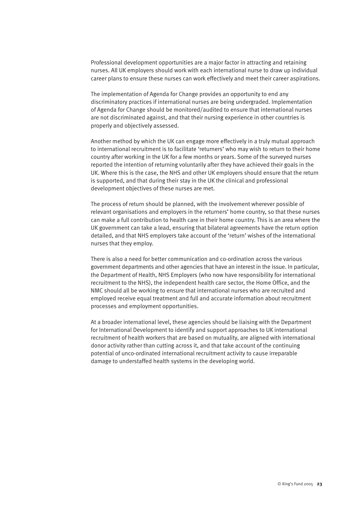Professional development opportunities are a major factor in attracting and retaining nurses. All UK employers should work with each international nurse to draw up individual career plans to ensure these nurses can work effectively and meet their career aspirations.

The implementation of Agenda for Change provides an opportunity to end any discriminatory practices if international nurses are being undergraded. Implementation of Agenda for Change should be monitored/audited to ensure that international nurses are not discriminated against, and that their nursing experience in other countries is properly and objectively assessed.

Another method by which the UK can engage more effectively in a truly mutual approach to international recruitment is to facilitate 'returners' who may wish to return to their home country after working in the UK for a few months or years. Some of the surveyed nurses reported the intention of returning voluntarily after they have achieved their goals in the UK. Where this is the case, the NHS and other UK employers should ensure that the return is supported, and that during their stay in the UK the clinical and professional development objectives of these nurses are met.

The process of return should be planned, with the involvement wherever possible of relevant organisations and employers in the returners' home country, so that these nurses can make a full contribution to health care in their home country. This is an area where the UK government can take a lead, ensuring that bilateral agreements have the return option detailed, and that NHS employers take account of the 'return' wishes of the international nurses that they employ.

There is also a need for better communication and co-ordination across the various government departments and other agencies that have an interest in the issue. In particular, the Department of Health, NHS Employers (who now have responsibility for international recruitment to the NHS), the independent health care sector, the Home Office, and the NMC should all be working to ensure that international nurses who are recruited and employed receive equal treatment and full and accurate information about recruitment processes and employment opportunities.

At a broader international level, these agencies should be liaising with the Department for International Development to identify and support approaches to UK international recruitment of health workers that are based on mutuality, are aligned with international donor activity rather than cutting across it, and that take account of the continuing potential of unco-ordinated international recruitment activity to cause irreparable damage to understaffed health systems in the developing world.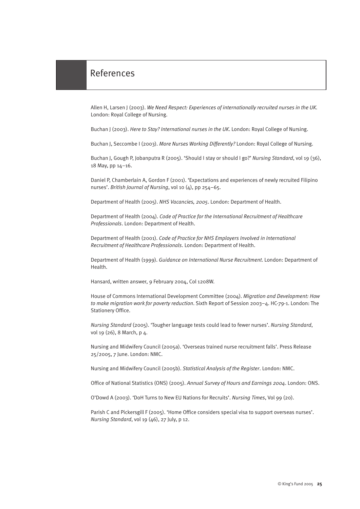#### References

Allen H, Larsen J (2003). *We Need Respect: Experiences of internationally recruited nurses in the UK.* London: Royal College of Nursing.

Buchan J (2003). *Here to Stay? International nurses in the UK*. London: Royal College of Nursing.

Buchan J, Seccombe I (2003). *More Nurses Working Differently?* London: Royal College of Nursing.

Buchan J, Gough P, Jobanputra R (2005). 'Should I stay or should I go?' *Nursing Standard*, vol 19 (36), 18 May, pp 14–16.

Daniel P, Chamberlain A, Gordon F (2001). 'Expectations and experiences of newly recruited Filipino nurses'. *British Journal of Nursing*, vol 10 (4), pp 254–65.

Department of Health (2005). *NHS Vacancies, 2005*. London: Department of Health.

Department of Health (2004). *Code of Practice for the International Recruitment of Healthcare Professionals*. London: Department of Health.

Department of Health (2001). *Code of Practice for NHS Employers Involved in International Recruitment of Healthcare Professionals*. London: Department of Health.

Department of Health (1999). *Guidance on International Nurse Recruitment*. London: Department of Health.

Hansard, written answer, 9 February 2004, Col 1208W.

House of Commons International Development Committee (2004). *Migration and Development: How to make migration work for poverty reduction*. Sixth Report of Session 2003–4. HC-79-1. London: The Stationery Office.

*Nursing Standard* (2005). 'Tougher language tests could lead to fewer nurses'. *Nursing Standard*, vol 19 (26), 8 March, p 4.

Nursing and Midwifery Council (2005a). 'Overseas trained nurse recruitment falls'. Press Release 25/2005, 7 June. London: NMC.

Nursing and Midwifery Council (2005b). *Statistical Analysis of the Register*. London: NMC.

Office of National Statistics (ONS) (2005). *Annual Survey of Hours and Earnings 2004*. London: ONS.

O'Dowd A (2003). 'DoH Turns to New EU Nations for Recruits'. *Nursing Times*, Vol 99 (20).

Parish C and Pickersgill F (2005). 'Home Office considers special visa to support overseas nurses'. *Nursing Standard*, vol 19 (46), 27 July, p 12.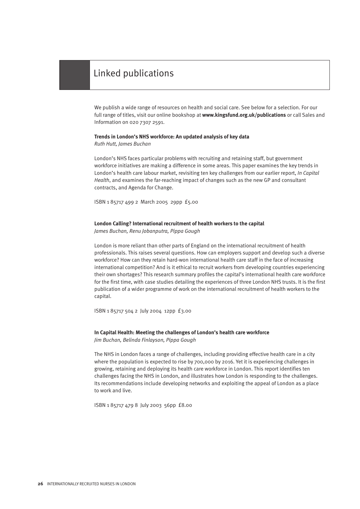#### Linked publications

We publish a wide range of resources on health and social care. See below for a selection. For our full range of titles, visit our online bookshop at **www.kingsfund.org.uk/publications** or call Sales and Information on 020 7307 2591.

#### **Trends in London's NHS workforce: An updated analysis of key data**

*Ruth Hutt, James Buchan* 

London's NHS faces particular problems with recruiting and retaining staff, but government workforce initiatives are making a difference in some areas. This paper examines the key trends in London's health care labour market, revisiting ten key challenges from our earlier report, *In Capital Health*, and examines the far-reaching impact of changes such as the new GP and consultant contracts, and Agenda for Change.

ISBN 1 85717 499 2 March 2005 29pp £5.00

#### **London Calling? International recruitment of health workers to the capital**

*James Buchan, Renu Jobanputra, Pippa Gough* 

London is more reliant than other parts of England on the international recruitment of health professionals. This raises several questions. How can employers support and develop such a diverse workforce? How can they retain hard-won international health care staff in the face of increasing international competition? And is it ethical to recruit workers from developing countries experiencing their own shortages? This research summary profiles the capital's international health care workforce for the first time, with case studies detailing the experiences of three London NHS trusts. It is the first publication of a wider programme of work on the international recruitment of health workers to the capital.

ISBN 1 85717 504 2 July 2004 12pp £3.00

#### **In Capital Health: Meeting the challenges of London's health care workforce** *Jim Buchan, Belinda Finlayson, Pippa Gough*

The NHS in London faces a range of challenges, including providing effective health care in a city where the population is expected to rise by 700,000 by 2016. Yet it is experiencing challenges in growing, retaining and deploying its health care workforce in London. This report identifies ten challenges facing the NHS in London, and illustrates how London is responding to the challenges. Its recommendations include developing networks and exploiting the appeal of London as a place to work and live.

ISBN 1 85717 479 8 July 2003 56pp £8.00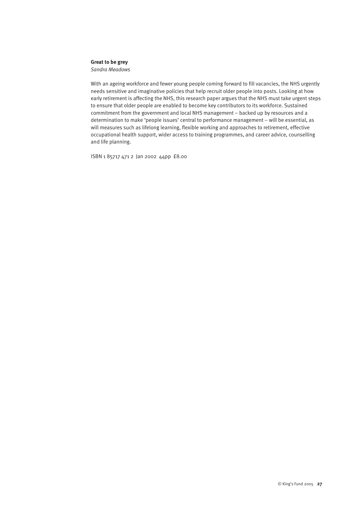#### **Great to be grey**

*Sandra Meadows*

With an ageing workforce and fewer young people coming forward to fill vacancies, the NHS urgently needs sensitive and imaginative policies that help recruit older people into posts. Looking at how early retirement is affecting the NHS, this research paper argues that the NHS must take urgent steps to ensure that older people are enabled to become key contributors to its workforce. Sustained commitment from the government and local NHS management – backed up by resources and a determination to make 'people issues' central to performance management – will be essential, as will measures such as lifelong learning, flexible working and approaches to retirement, effective occupational health support, wider access to training programmes, and career advice, counselling and life planning.

ISBN 1 85717 471 2 Jan 2002 44pp £8.00